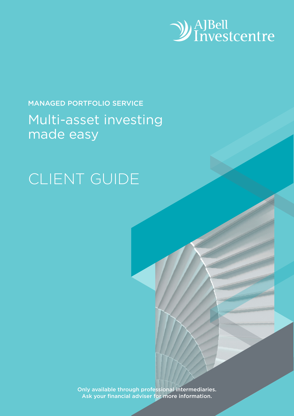

## MANAGED PORTFOLIO SERVICE Multi-asset investing made easy

# CLIENT GUIDE

Only available through professional intermediaries. Ask your financial adviser for more information.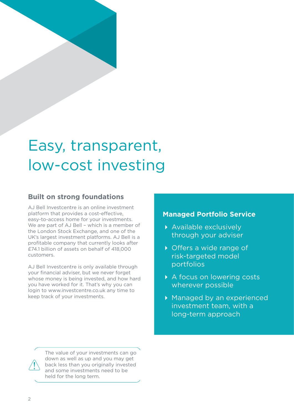# Easy, transparent, low-cost investing

### **Built on strong foundations**

AJ Bell Investcentre is an online investment platform that provides a cost-effective, easy-to-access home for your investments. We are part of AJ Bell - which is a member of the London Stock Exchange, and one of the UK's largest investment platforms. AJ Bell is a profitable company that currently looks after £74.1 billion of assets on behalf of 418,000 customers.

AJ Bell Investcentre is only available through your financial adviser, but we never forget whose money is being invested, and how hard you have worked for it. That's why you can login to www.investcentre.co.uk any time to keep track of your investments.

### **Managed Portfolio Service**

- Available exclusively through your adviser
- ▶ Offers a wide range of risk-targeted model portfolios
- A focus on lowering costs wherever possible
- Managed by an experienced investment team, with a long-term approach



The value of your investments can go down as well as up and you may get back less than you originally invested and some investments need to be held for the long term.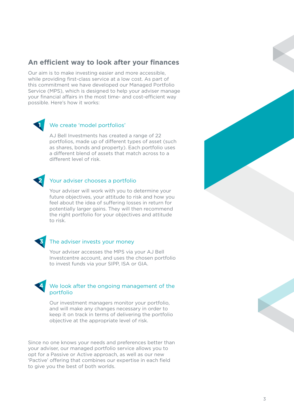### **An efficient way to look after your finances**

Our aim is to make investing easier and more accessible, while providing first-class service at a low cost. As part of this commitment we have developed our Managed Portfolio Service (MPS), which is designed to help your adviser manage your financial affairs in the most time- and cost-efficient way possible. Here's how it works:



#### We create 'model portfolios'

AJ Bell Investments has created a range of 22 portfolios, made up of different types of asset (such as shares, bonds and property). Each portfolio uses a different blend of assets that match across to a different level of risk.



#### Your adviser chooses a portfolio

Your adviser will work with you to determine your future objectives, your attitude to risk and how you feel about the idea of suffering losses in return for potentially larger gains. They will then recommend the right portfolio for your objectives and attitude to risk.



#### The adviser invests your money

Your adviser accesses the MPS via your AJ Bell Investcentre account, and uses the chosen portfolio to invest funds via your SIPP, ISA or GIA.

#### We look after the ongoing management of the portfolio **4**

Our investment managers monitor your portfolio, and will make any changes necessary in order to keep it on track in terms of delivering the portfolio objective at the appropriate level of risk.

Since no one knows your needs and preferences better than your adviser, our managed portfolio service allows you to opt for a Passive or Active approach, as well as our new 'Pactive' offering that combines our expertise in each field to give you the best of both worlds.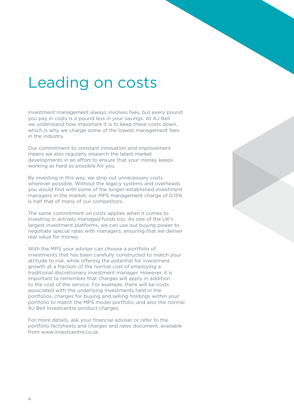## Leading on costs

Investment management always involves fees, but every pound you pay in costs is a pound less in your savings. At AJ Bell we understand how important it is to keep these costs down, which is why we charge some of the lowest management fees in the industry.

Our commitment to constant innovation and improvement means we also regularly research the latest market developments in an effort to ensure that your money keeps working as hard as possible for you.

By investing in this way, we strip out unnecessary costs wherever possible. Without the legacy systems and overheads you would find with some of the longer-established investment managers in the market, our MPS management charge of 0.15% is half that of many of our competitors.

The same commitment on costs applies when it comes to investing in actively managed funds too. As one of the UK's largest investment platforms, we can use our buying power to negotiate special rates with managers, ensuring that we deliver real value for money.

With the MPS your adviser can choose a portfolio of investments that has been carefully constructed to match your attitude to risk, while offering the potential for investment growth at a fraction of the normal cost of employing a traditional discretionary investment manager. However, it is important to remember that charges will apply in addition to the cost of the service. For example, there will be costs associated with the underlying investments held in the portfolios, charges for buying and selling holdings within your portfolio to match the MPS model portfolio, and also the normal AJ Bell Investcentre product charges.

For more details, ask your financial adviser or refer to the portfolio factsheets and charges and rates document, available from www.investcentre.co.uk.

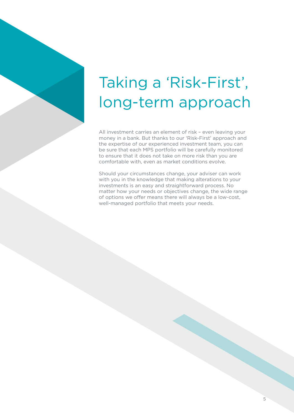# Taking a 'Risk-First', long-term approach

All investment carries an element of risk – even leaving your money in a bank. But thanks to our 'Risk-First' approach and the expertise of our experienced investment team, you can be sure that each MPS portfolio will be carefully monitored to ensure that it does not take on more risk than you are comfortable with, even as market conditions evolve.

Should your circumstances change, your adviser can work with you in the knowledge that making alterations to your investments is an easy and straightforward process. No matter how your needs or objectives change, the wide range of options we offer means there will always be a low-cost, well-managed portfolio that meets your needs.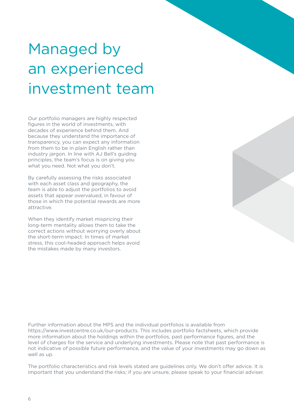# Managed by an experienced investment team

Our portfolio managers are highly respected figures in the world of investments, with decades of experience behind them. And because they understand the importance of transparency, you can expect any information from them to be in plain English rather than industry jargon. In line with AJ Bell's guiding principles, the team's focus is on giving you what you need. Not what you don't.

By carefully assessing the risks associated with each asset class and geography, the team is able to adjust the portfolios to avoid assets that appear overvalued, in favour of those in which the potential rewards are more attractive.

When they identify market mispricing their long-term mentality allows them to take the correct actions without worrying overly about the short-term impact. In times of market stress, this cool-headed approach helps avoid the mistakes made by many investors.

Further information about the MPS and the individual portfolios is available from https://www.investcentre.co.uk/our-products. This includes portfolio factsheets, which provide more information about the holdings within the portfolios, past performance figures, and the level of charges for the service and underlying investments. Please note that past performance is not indicative of possible future performance, and the value of your investments may go down as well as up.

The portfolio characteristics and risk levels stated are guidelines only. We don't offer advice. It is important that you understand the risks; if you are unsure, please speak to your financial adviser.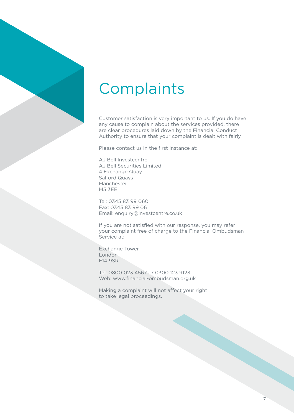## **Complaints**

Customer satisfaction is very important to us. If you do have any cause to complain about the services provided, there are clear procedures laid down by the Financial Conduct Authority to ensure that your complaint is dealt with fairly.

Please contact us in the first instance at:

AJ Bell Investcentre AJ Bell Securities Limited 4 Exchange Quay Salford Quays Manchester M5 3EE

Tel: 0345 83 99 060 Fax: 0345 83 99 061 Email: enquiry@investcentre.co.uk

If you are not satisfied with our response, you may refer your complaint free of charge to the Financial Ombudsman Service at:

Exchange Tower London E14 9SR

Tel: 0800 023 4567 or 0300 123 9123 Web: www.financial-ombudsman.org.uk

Making a complaint will not affect your right to take legal proceedings.